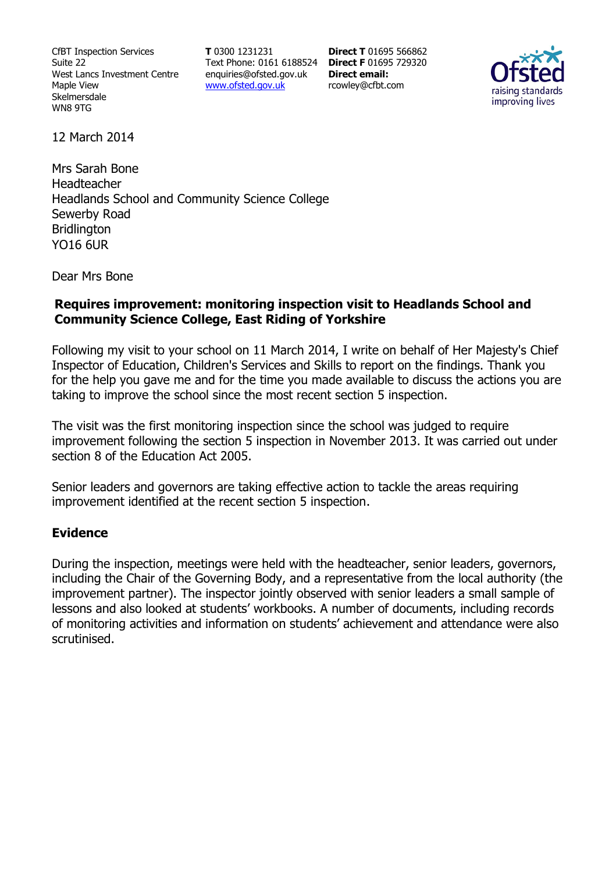CfBT Inspection Services Suite 22 West Lancs Investment Centre Maple View Skelmersdale WN8 9TG

**T** 0300 1231231 Text Phone: 0161 6188524 **Direct F** 01695 729320 enquiries@ofsted.gov.uk www.ofsted.gov.uk

**Direct T** 01695 566862 **Direct email:**  rcowley@cfbt.com



12 March 2014

Mrs Sarah Bone Headteacher Headlands School and Community Science College Sewerby Road **Bridlington** YO16 6UR

Dear Mrs Bone

## **Requires improvement: monitoring inspection visit to Headlands School and Community Science College, East Riding of Yorkshire**

Following my visit to your school on 11 March 2014, I write on behalf of Her Majesty's Chief Inspector of Education, Children's Services and Skills to report on the findings. Thank you for the help you gave me and for the time you made available to discuss the actions you are taking to improve the school since the most recent section 5 inspection.

The visit was the first monitoring inspection since the school was judged to require improvement following the section 5 inspection in November 2013. It was carried out under section 8 of the Education Act 2005.

Senior leaders and governors are taking effective action to tackle the areas requiring improvement identified at the recent section 5 inspection.

## **Evidence**

During the inspection, meetings were held with the headteacher, senior leaders, governors, including the Chair of the Governing Body, and a representative from the local authority (the improvement partner). The inspector jointly observed with senior leaders a small sample of lessons and also looked at students' workbooks. A number of documents, including records of monitoring activities and information on students' achievement and attendance were also scrutinised.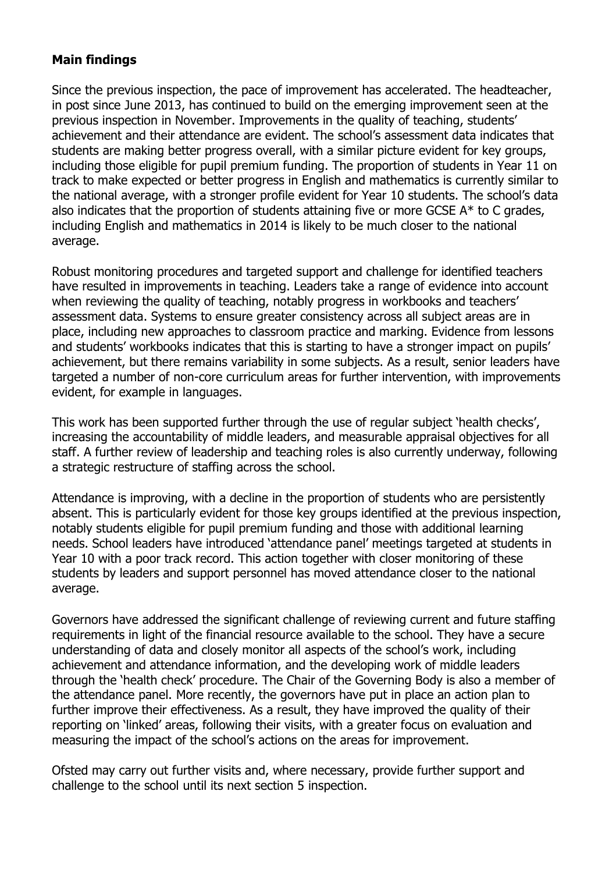## **Main findings**

Since the previous inspection, the pace of improvement has accelerated. The headteacher, in post since June 2013, has continued to build on the emerging improvement seen at the previous inspection in November. Improvements in the quality of teaching, students' achievement and their attendance are evident. The school's assessment data indicates that students are making better progress overall, with a similar picture evident for key groups, including those eligible for pupil premium funding. The proportion of students in Year 11 on track to make expected or better progress in English and mathematics is currently similar to the national average, with a stronger profile evident for Year 10 students. The school's data also indicates that the proportion of students attaining five or more GCSE  $A^*$  to C grades, including English and mathematics in 2014 is likely to be much closer to the national average.

Robust monitoring procedures and targeted support and challenge for identified teachers have resulted in improvements in teaching. Leaders take a range of evidence into account when reviewing the quality of teaching, notably progress in workbooks and teachers' assessment data. Systems to ensure greater consistency across all subject areas are in place, including new approaches to classroom practice and marking. Evidence from lessons and students' workbooks indicates that this is starting to have a stronger impact on pupils' achievement, but there remains variability in some subjects. As a result, senior leaders have targeted a number of non-core curriculum areas for further intervention, with improvements evident, for example in languages.

This work has been supported further through the use of regular subject 'health checks', increasing the accountability of middle leaders, and measurable appraisal objectives for all staff. A further review of leadership and teaching roles is also currently underway, following a strategic restructure of staffing across the school.

Attendance is improving, with a decline in the proportion of students who are persistently absent. This is particularly evident for those key groups identified at the previous inspection, notably students eligible for pupil premium funding and those with additional learning needs. School leaders have introduced 'attendance panel' meetings targeted at students in Year 10 with a poor track record. This action together with closer monitoring of these students by leaders and support personnel has moved attendance closer to the national average.

Governors have addressed the significant challenge of reviewing current and future staffing requirements in light of the financial resource available to the school. They have a secure understanding of data and closely monitor all aspects of the school's work, including achievement and attendance information, and the developing work of middle leaders through the 'health check' procedure. The Chair of the Governing Body is also a member of the attendance panel. More recently, the governors have put in place an action plan to further improve their effectiveness. As a result, they have improved the quality of their reporting on 'linked' areas, following their visits, with a greater focus on evaluation and measuring the impact of the school's actions on the areas for improvement.

Ofsted may carry out further visits and, where necessary, provide further support and challenge to the school until its next section 5 inspection.